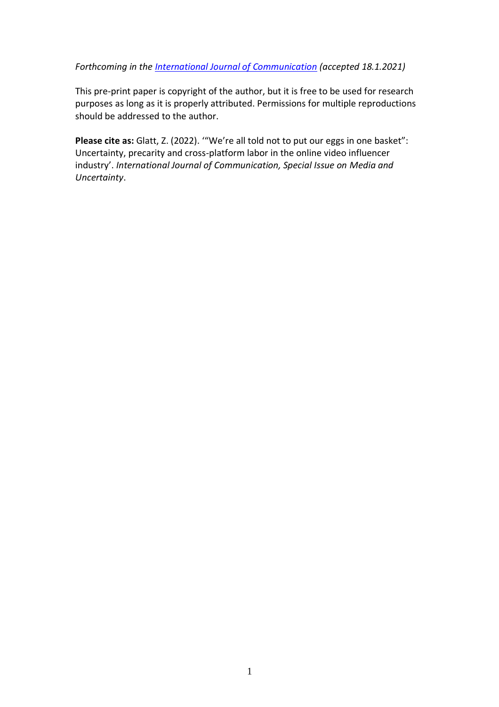### *Forthcoming in the [International Journal of Communication](https://ijoc.org/index.php/ijoc) (accepted 18.1.2021)*

This pre-print paper is copyright of the author, but it is free to be used for research purposes as long as it is properly attributed. Permissions for multiple reproductions should be addressed to the author.

Please cite as: Glatt, Z. (2022). "'We're all told not to put our eggs in one basket": Uncertainty, precarity and cross-platform labor in the online video influencer industry'. *International Journal of Communication, Special Issue on Media and Uncertainty*.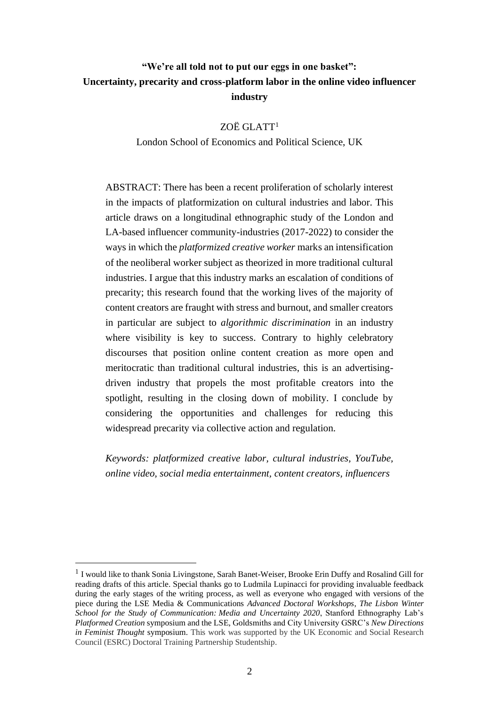# **"We're all told not to put our eggs in one basket": Uncertainty, precarity and cross-platform labor in the online video influencer industry**

### ZOË GLATT<sup>1</sup>

### London School of Economics and Political Science, UK

ABSTRACT: There has been a recent proliferation of scholarly interest in the impacts of platformization on cultural industries and labor. This article draws on a longitudinal ethnographic study of the London and LA-based influencer community-industries (2017-2022) to consider the ways in which the *platformized creative worker* marks an intensification of the neoliberal worker subject as theorized in more traditional cultural industries. I argue that this industry marks an escalation of conditions of precarity; this research found that the working lives of the majority of content creators are fraught with stress and burnout, and smaller creators in particular are subject to *algorithmic discrimination* in an industry where visibility is key to success. Contrary to highly celebratory discourses that position online content creation as more open and meritocratic than traditional cultural industries, this is an advertisingdriven industry that propels the most profitable creators into the spotlight, resulting in the closing down of mobility. I conclude by considering the opportunities and challenges for reducing this widespread precarity via collective action and regulation.

*Keywords: platformized creative labor, cultural industries, YouTube, online video, social media entertainment, content creators, influencers*

<sup>&</sup>lt;sup>1</sup> I would like to thank Sonia Livingstone, Sarah Banet-Weiser, Brooke Erin Duffy and Rosalind Gill for reading drafts of this article. Special thanks go to Ludmila Lupinacci for providing invaluable feedback during the early stages of the writing process, as well as everyone who engaged with versions of the piece during the LSE Media & Communications *Advanced Doctoral Workshops*, *The Lisbon Winter School for the Study of Communication: Media and Uncertainty 2020*, Stanford Ethnography Lab's *Platformed Creation* symposium and the LSE, Goldsmiths and City University GSRC's *New Directions in Feminist Thought* symposium. This work was supported by the UK Economic and Social Research Council (ESRC) Doctoral Training Partnership Studentship.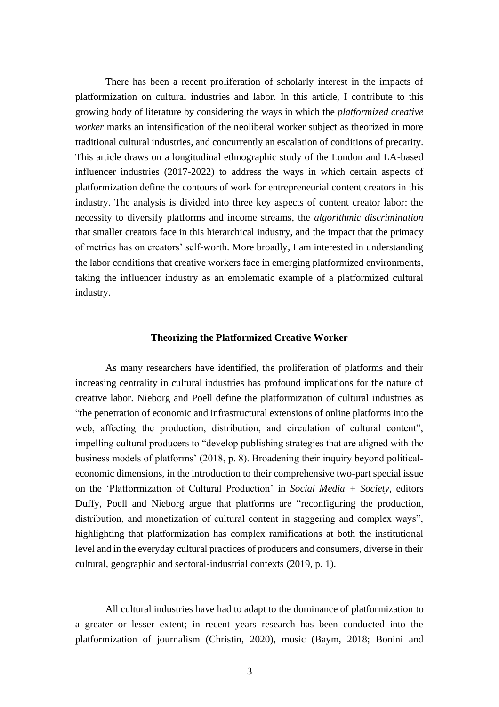There has been a recent proliferation of scholarly interest in the impacts of platformization on cultural industries and labor. In this article, I contribute to this growing body of literature by considering the ways in which the *platformized creative worker* marks an intensification of the neoliberal worker subject as theorized in more traditional cultural industries, and concurrently an escalation of conditions of precarity. This article draws on a longitudinal ethnographic study of the London and LA-based influencer industries (2017-2022) to address the ways in which certain aspects of platformization define the contours of work for entrepreneurial content creators in this industry. The analysis is divided into three key aspects of content creator labor: the necessity to diversify platforms and income streams, the *algorithmic discrimination* that smaller creators face in this hierarchical industry, and the impact that the primacy of metrics has on creators' self-worth. More broadly, I am interested in understanding the labor conditions that creative workers face in emerging platformized environments, taking the influencer industry as an emblematic example of a platformized cultural industry.

#### **Theorizing the Platformized Creative Worker**

As many researchers have identified, the proliferation of platforms and their increasing centrality in cultural industries has profound implications for the nature of creative labor. Nieborg and Poell define the platformization of cultural industries as "the penetration of economic and infrastructural extensions of online platforms into the web, affecting the production, distribution, and circulation of cultural content", impelling cultural producers to "develop publishing strategies that are aligned with the business models of platforms' (2018, p. 8). Broadening their inquiry beyond politicaleconomic dimensions, in the introduction to their comprehensive two-part special issue on the 'Platformization of Cultural Production' in *Social Media + Society*, editors Duffy, Poell and Nieborg argue that platforms are "reconfiguring the production, distribution, and monetization of cultural content in staggering and complex ways", highlighting that platformization has complex ramifications at both the institutional level and in the everyday cultural practices of producers and consumers, diverse in their cultural, geographic and sectoral-industrial contexts (2019, p. 1).

All cultural industries have had to adapt to the dominance of platformization to a greater or lesser extent; in recent years research has been conducted into the platformization of journalism (Christin, 2020), music (Baym, 2018; Bonini and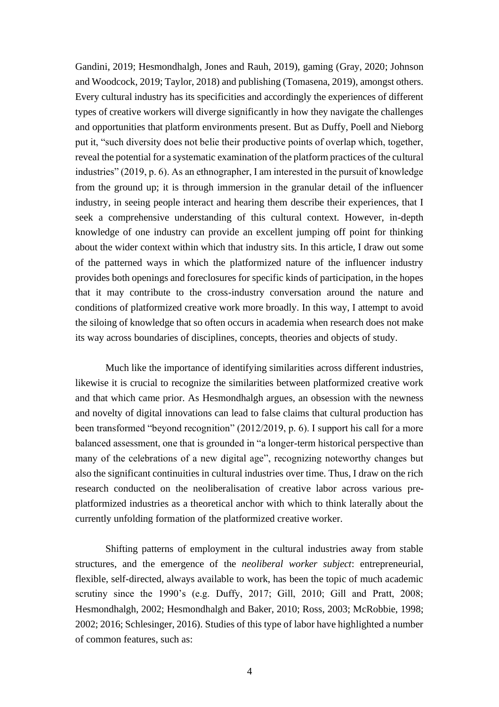Gandini, 2019; Hesmondhalgh, Jones and Rauh, 2019), gaming (Gray, 2020; Johnson and Woodcock, 2019; Taylor, 2018) and publishing (Tomasena, 2019), amongst others. Every cultural industry has its specificities and accordingly the experiences of different types of creative workers will diverge significantly in how they navigate the challenges and opportunities that platform environments present. But as Duffy, Poell and Nieborg put it, "such diversity does not belie their productive points of overlap which, together, reveal the potential for a systematic examination of the platform practices of the cultural industries" (2019, p. 6). As an ethnographer, I am interested in the pursuit of knowledge from the ground up; it is through immersion in the granular detail of the influencer industry, in seeing people interact and hearing them describe their experiences, that I seek a comprehensive understanding of this cultural context. However, in-depth knowledge of one industry can provide an excellent jumping off point for thinking about the wider context within which that industry sits. In this article, I draw out some of the patterned ways in which the platformized nature of the influencer industry provides both openings and foreclosures for specific kinds of participation, in the hopes that it may contribute to the cross-industry conversation around the nature and conditions of platformized creative work more broadly. In this way, I attempt to avoid the siloing of knowledge that so often occurs in academia when research does not make its way across boundaries of disciplines, concepts, theories and objects of study.

Much like the importance of identifying similarities across different industries, likewise it is crucial to recognize the similarities between platformized creative work and that which came prior. As Hesmondhalgh argues, an obsession with the newness and novelty of digital innovations can lead to false claims that cultural production has been transformed "beyond recognition" (2012/2019, p. 6). I support his call for a more balanced assessment, one that is grounded in "a longer-term historical perspective than many of the celebrations of a new digital age", recognizing noteworthy changes but also the significant continuities in cultural industries over time. Thus, I draw on the rich research conducted on the neoliberalisation of creative labor across various preplatformized industries as a theoretical anchor with which to think laterally about the currently unfolding formation of the platformized creative worker.

Shifting patterns of employment in the cultural industries away from stable structures, and the emergence of the *neoliberal worker subject*: entrepreneurial, flexible, self-directed, always available to work, has been the topic of much academic scrutiny since the 1990's (e.g. Duffy, 2017; Gill, 2010; Gill and Pratt, 2008; Hesmondhalgh, 2002; Hesmondhalgh and Baker, 2010; Ross, 2003; McRobbie, 1998; 2002; 2016; Schlesinger, 2016). Studies of this type of labor have highlighted a number of common features, such as: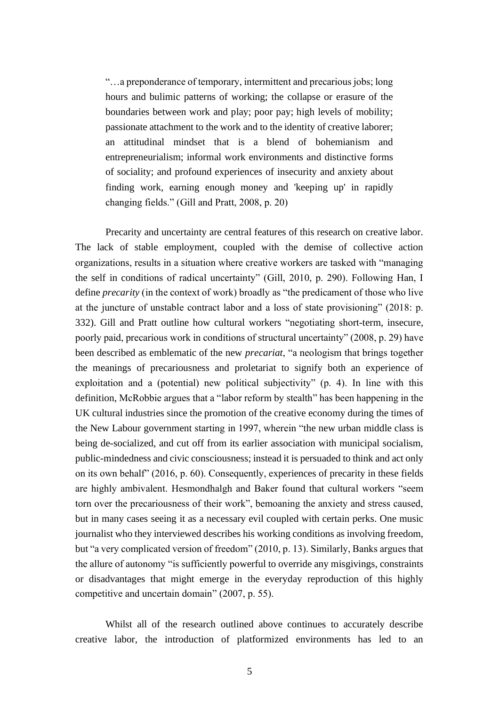"…a preponderance of temporary, intermittent and precarious jobs; long hours and bulimic patterns of working; the collapse or erasure of the boundaries between work and play; poor pay; high levels of mobility; passionate attachment to the work and to the identity of creative laborer; an attitudinal mindset that is a blend of bohemianism and entrepreneurialism; informal work environments and distinctive forms of sociality; and profound experiences of insecurity and anxiety about finding work, earning enough money and 'keeping up' in rapidly changing fields." (Gill and Pratt, 2008, p. 20)

Precarity and uncertainty are central features of this research on creative labor. The lack of stable employment, coupled with the demise of collective action organizations, results in a situation where creative workers are tasked with "managing the self in conditions of radical uncertainty" (Gill, 2010, p. 290). Following Han, I define *precarity* (in the context of work) broadly as "the predicament of those who live at the juncture of unstable contract labor and a loss of state provisioning" (2018: p. 332). Gill and Pratt outline how cultural workers "negotiating short-term, insecure, poorly paid, precarious work in conditions of structural uncertainty" (2008, p. 29) have been described as emblematic of the new *precariat*, "a neologism that brings together the meanings of precariousness and proletariat to signify both an experience of exploitation and a (potential) new political subjectivity" (p. 4). In line with this definition, McRobbie argues that a "labor reform by stealth" has been happening in the UK cultural industries since the promotion of the creative economy during the times of the New Labour government starting in 1997, wherein "the new urban middle class is being de-socialized, and cut off from its earlier association with municipal socialism, public-mindedness and civic consciousness; instead it is persuaded to think and act only on its own behalf" (2016, p. 60). Consequently, experiences of precarity in these fields are highly ambivalent. Hesmondhalgh and Baker found that cultural workers "seem torn over the precariousness of their work", bemoaning the anxiety and stress caused, but in many cases seeing it as a necessary evil coupled with certain perks. One music journalist who they interviewed describes his working conditions as involving freedom, but "a very complicated version of freedom" (2010, p. 13). Similarly, Banks argues that the allure of autonomy "is sufficiently powerful to override any misgivings, constraints or disadvantages that might emerge in the everyday reproduction of this highly competitive and uncertain domain" (2007, p. 55).

Whilst all of the research outlined above continues to accurately describe creative labor, the introduction of platformized environments has led to an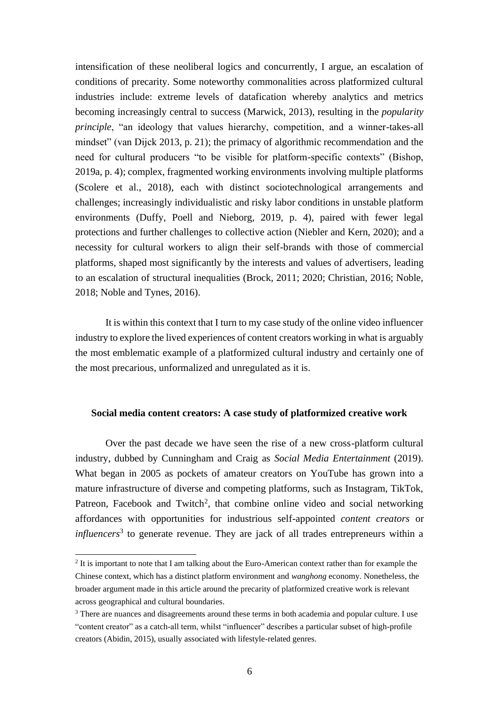intensification of these neoliberal logics and concurrently, I argue, an escalation of conditions of precarity. Some noteworthy commonalities across platformized cultural industries include: extreme levels of datafication whereby analytics and metrics becoming increasingly central to success (Marwick, 2013), resulting in the *popularity principle*, "an ideology that values hierarchy, competition, and a winner-takes-all mindset" (van Dijck 2013, p. 21); the primacy of algorithmic recommendation and the need for cultural producers "to be visible for platform-specific contexts" (Bishop, 2019a, p. 4); complex, fragmented working environments involving multiple platforms (Scolere et al., 2018), each with distinct sociotechnological arrangements and challenges; increasingly individualistic and risky labor conditions in unstable platform environments (Duffy, Poell and Nieborg, 2019, p. 4), paired with fewer legal protections and further challenges to collective action (Niebler and Kern, 2020); and a necessity for cultural workers to align their self-brands with those of commercial platforms, shaped most significantly by the interests and values of advertisers, leading to an escalation of structural inequalities (Brock, 2011; 2020; Christian, 2016; Noble, 2018; Noble and Tynes, 2016).

It is within this context that I turn to my case study of the online video influencer industry to explore the lived experiences of content creators working in what is arguably the most emblematic example of a platformized cultural industry and certainly one of the most precarious, unformalized and unregulated as it is.

#### **Social media content creators: A case study of platformized creative work**

Over the past decade we have seen the rise of a new cross-platform cultural industry, dubbed by Cunningham and Craig as *Social Media Entertainment* (2019). What began in 2005 as pockets of amateur creators on YouTube has grown into a mature infrastructure of diverse and competing platforms, such as Instagram, TikTok, Patreon, Facebook and Twitch<sup>2</sup>, that combine online video and social networking affordances with opportunities for industrious self-appointed *content creators* or *influencers*<sup>3</sup> to generate revenue. They are jack of all trades entrepreneurs within a

 $2$  It is important to note that I am talking about the Euro-American context rather than for example the Chinese context, which has a distinct platform environment and *wanghong* economy. Nonetheless, the broader argument made in this article around the precarity of platformized creative work is relevant across geographical and cultural boundaries.

<sup>&</sup>lt;sup>3</sup> There are nuances and disagreements around these terms in both academia and popular culture. I use "content creator" as a catch-all term, whilst "influencer" describes a particular subset of high-profile creators (Abidin, 2015), usually associated with lifestyle-related genres.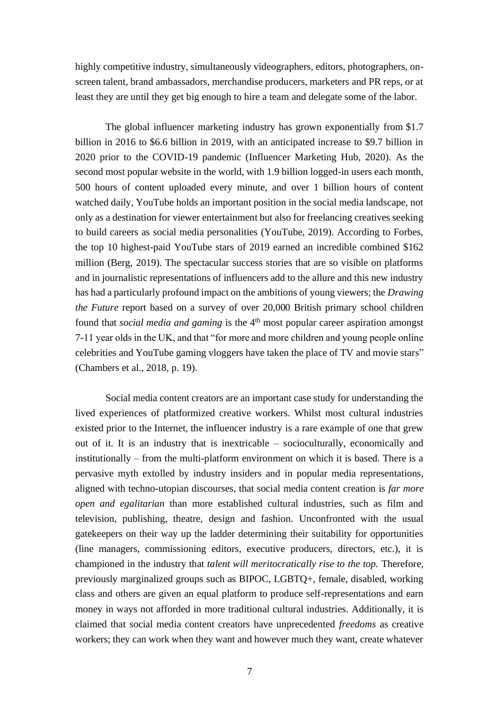highly competitive industry, simultaneously videographers, editors, photographers, onscreen talent, brand ambassadors, merchandise producers, marketers and PR reps, or at least they are until they get big enough to hire a team and delegate some of the labor.

The global influencer marketing industry has grown exponentially from \$1.7 billion in 2016 to \$6.6 billion in 2019, with an anticipated increase to \$9.7 billion in 2020 prior to the COVID-19 pandemic (Influencer Marketing Hub, 2020). As the second most popular website in the world, with 1.9 billion logged-in users each month, 500 hours of content uploaded every minute, and over 1 billion hours of content watched daily, YouTube holds an important position in the social media landscape, not only as a destination for viewer entertainment but also for freelancing creatives seeking to build careers as social media personalities (YouTube, 2019). According to Forbes, the top 10 highest-paid YouTube stars of 2019 earned an incredible combined \$162 million (Berg, 2019). The spectacular success stories that are so visible on platforms and in journalistic representations of influencers add to the allure and this new industry has had a particularly profound impact on the ambitions of young viewers; the *Drawing the Future* report based on a survey of over 20,000 British primary school children found that *social media and gaming* is the 4<sup>th</sup> most popular career aspiration amongst 7-11 year olds in the UK, and that "for more and more children and young people online celebrities and YouTube gaming vloggers have taken the place of TV and movie stars" (Chambers et al., 2018, p. 19).

Social media content creators are an important case study for understanding the lived experiences of platformized creative workers. Whilst most cultural industries existed prior to the Internet, the influencer industry is a rare example of one that grew out of it. It is an industry that is inextricable – socioculturally, economically and institutionally – from the multi-platform environment on which it is based. There is a pervasive myth extolled by industry insiders and in popular media representations, aligned with techno-utopian discourses, that social media content creation is *far more open and egalitarian* than more established cultural industries, such as film and television, publishing, theatre, design and fashion. Unconfronted with the usual gatekeepers on their way up the ladder determining their suitability for opportunities (line managers, commissioning editors, executive producers, directors, etc.), it is championed in the industry that *talent will meritocratically rise to the top.* Therefore, previously marginalized groups such as BIPOC, LGBTQ+, female, disabled, working class and others are given an equal platform to produce self-representations and earn money in ways not afforded in more traditional cultural industries. Additionally, it is claimed that social media content creators have unprecedented *freedoms* as creative workers; they can work when they want and however much they want, create whatever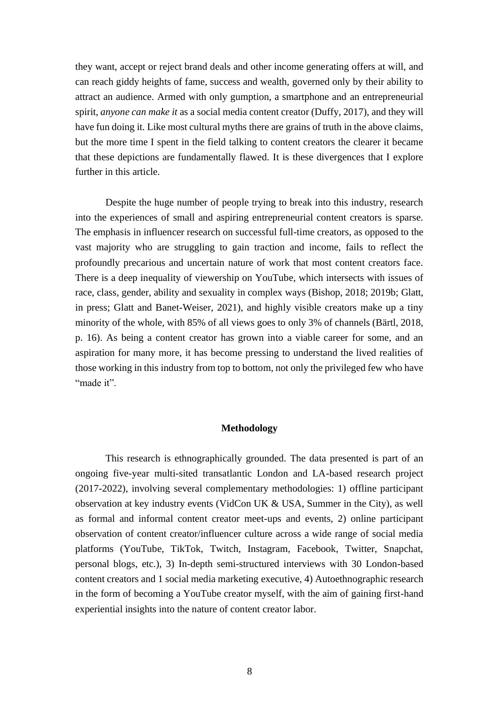they want, accept or reject brand deals and other income generating offers at will, and can reach giddy heights of fame, success and wealth, governed only by their ability to attract an audience. Armed with only gumption, a smartphone and an entrepreneurial spirit, *anyone can make it* as a social media content creator (Duffy, 2017), and they will have fun doing it. Like most cultural myths there are grains of truth in the above claims, but the more time I spent in the field talking to content creators the clearer it became that these depictions are fundamentally flawed. It is these divergences that I explore further in this article.

Despite the huge number of people trying to break into this industry, research into the experiences of small and aspiring entrepreneurial content creators is sparse. The emphasis in influencer research on successful full-time creators, as opposed to the vast majority who are struggling to gain traction and income, fails to reflect the profoundly precarious and uncertain nature of work that most content creators face. There is a deep inequality of viewership on YouTube, which intersects with issues of race, class, gender, ability and sexuality in complex ways (Bishop, 2018; 2019b; Glatt, in press; Glatt and Banet-Weiser, 2021), and highly visible creators make up a tiny minority of the whole, with 85% of all views goes to only 3% of channels (Bärtl, 2018, p. 16). As being a content creator has grown into a viable career for some, and an aspiration for many more, it has become pressing to understand the lived realities of those working in this industry from top to bottom, not only the privileged few who have "made it".

### **Methodology**

This research is ethnographically grounded. The data presented is part of an ongoing five-year multi-sited transatlantic London and LA-based research project (2017-2022), involving several complementary methodologies: 1) offline participant observation at key industry events (VidCon UK & USA, Summer in the City), as well as formal and informal content creator meet-ups and events, 2) online participant observation of content creator/influencer culture across a wide range of social media platforms (YouTube, TikTok, Twitch, Instagram, Facebook, Twitter, Snapchat, personal blogs, etc.), 3) In-depth semi-structured interviews with 30 London-based content creators and 1 social media marketing executive, 4) Autoethnographic research in the form of becoming a YouTube creator myself, with the aim of gaining first-hand experiential insights into the nature of content creator labor.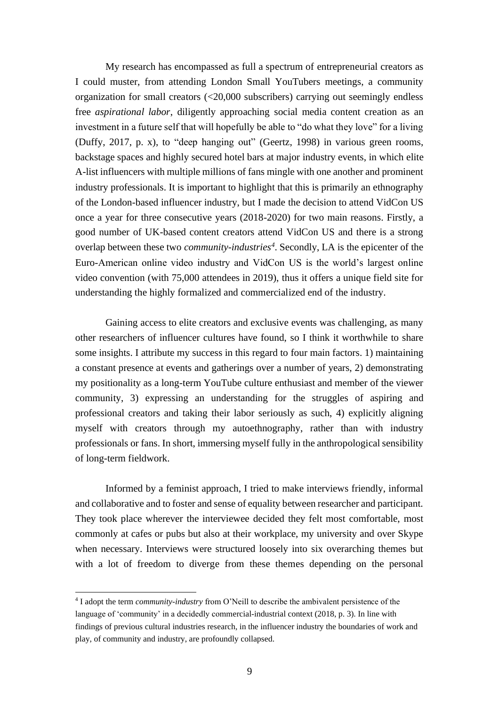My research has encompassed as full a spectrum of entrepreneurial creators as I could muster, from attending London Small YouTubers meetings, a community organization for small creators (<20,000 subscribers) carrying out seemingly endless free *aspirational labor*, diligently approaching social media content creation as an investment in a future self that will hopefully be able to "do what they love" for a living (Duffy, 2017, p. x), to "deep hanging out" (Geertz, 1998) in various green rooms, backstage spaces and highly secured hotel bars at major industry events, in which elite A-list influencers with multiple millions of fans mingle with one another and prominent industry professionals. It is important to highlight that this is primarily an ethnography of the London-based influencer industry, but I made the decision to attend VidCon US once a year for three consecutive years (2018-2020) for two main reasons. Firstly, a good number of UK-based content creators attend VidCon US and there is a strong overlap between these two *community-industries<sup>4</sup>* . Secondly, LA is the epicenter of the Euro-American online video industry and VidCon US is the world's largest online video convention (with 75,000 attendees in 2019), thus it offers a unique field site for understanding the highly formalized and commercialized end of the industry.

Gaining access to elite creators and exclusive events was challenging, as many other researchers of influencer cultures have found, so I think it worthwhile to share some insights. I attribute my success in this regard to four main factors. 1) maintaining a constant presence at events and gatherings over a number of years, 2) demonstrating my positionality as a long-term YouTube culture enthusiast and member of the viewer community, 3) expressing an understanding for the struggles of aspiring and professional creators and taking their labor seriously as such, 4) explicitly aligning myself with creators through my autoethnography, rather than with industry professionals or fans. In short, immersing myself fully in the anthropological sensibility of long-term fieldwork.

Informed by a feminist approach, I tried to make interviews friendly, informal and collaborative and to foster and sense of equality between researcher and participant. They took place wherever the interviewee decided they felt most comfortable, most commonly at cafes or pubs but also at their workplace, my university and over Skype when necessary. Interviews were structured loosely into six overarching themes but with a lot of freedom to diverge from these themes depending on the personal

<sup>4</sup> I adopt the term *community-industry* from O'Neill to describe the ambivalent persistence of the language of 'community' in a decidedly commercial-industrial context (2018, p. 3). In line with findings of previous cultural industries research, in the influencer industry the boundaries of work and play, of community and industry, are profoundly collapsed.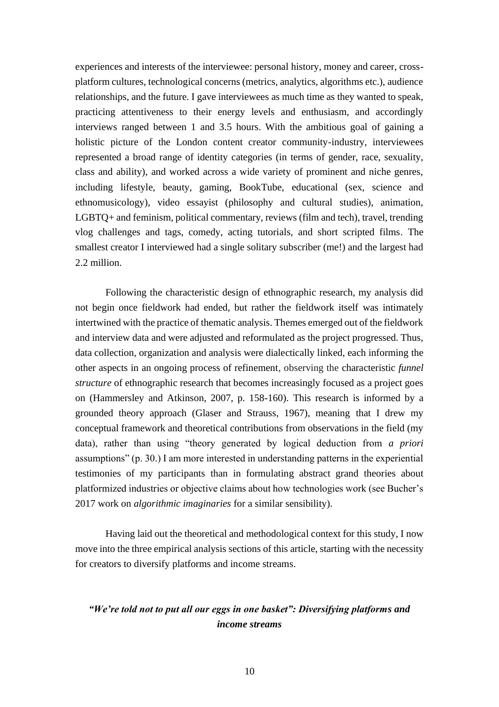experiences and interests of the interviewee: personal history, money and career, crossplatform cultures, technological concerns (metrics, analytics, algorithms etc.), audience relationships, and the future. I gave interviewees as much time as they wanted to speak, practicing attentiveness to their energy levels and enthusiasm, and accordingly interviews ranged between 1 and 3.5 hours. With the ambitious goal of gaining a holistic picture of the London content creator community-industry, interviewees represented a broad range of identity categories (in terms of gender, race, sexuality, class and ability), and worked across a wide variety of prominent and niche genres, including lifestyle, beauty, gaming, BookTube, educational (sex, science and ethnomusicology), video essayist (philosophy and cultural studies), animation, LGBTQ+ and feminism, political commentary, reviews (film and tech), travel, trending vlog challenges and tags, comedy, acting tutorials, and short scripted films. The smallest creator I interviewed had a single solitary subscriber (me!) and the largest had 2.2 million.

Following the characteristic design of ethnographic research, my analysis did not begin once fieldwork had ended, but rather the fieldwork itself was intimately intertwined with the practice of thematic analysis. Themes emerged out of the fieldwork and interview data and were adjusted and reformulated as the project progressed. Thus, data collection, organization and analysis were dialectically linked, each informing the other aspects in an ongoing process of refinement, observing the characteristic *funnel structure* of ethnographic research that becomes increasingly focused as a project goes on (Hammersley and Atkinson, 2007, p. 158-160). This research is informed by a grounded theory approach (Glaser and Strauss, 1967), meaning that I drew my conceptual framework and theoretical contributions from observations in the field (my data), rather than using "theory generated by logical deduction from *a priori* assumptions" (p. 30.) I am more interested in understanding patterns in the experiential testimonies of my participants than in formulating abstract grand theories about platformized industries or objective claims about how technologies work (see Bucher's 2017 work on *algorithmic imaginaries* for a similar sensibility).

Having laid out the theoretical and methodological context for this study, I now move into the three empirical analysis sections of this article, starting with the necessity for creators to diversify platforms and income streams.

## *"We're told not to put all our eggs in one basket": Diversifying platforms and income streams*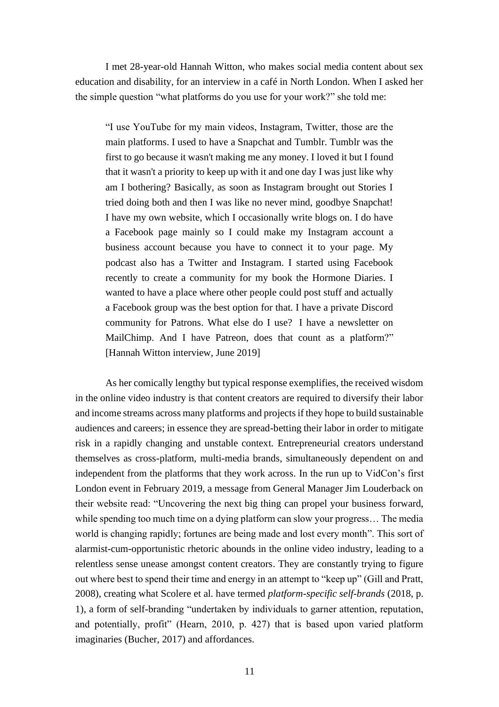I met 28-year-old Hannah Witton, who makes social media content about sex education and disability, for an interview in a café in North London. When I asked her the simple question "what platforms do you use for your work?" she told me:

"I use YouTube for my main videos, Instagram, Twitter, those are the main platforms. I used to have a Snapchat and Tumblr. Tumblr was the first to go because it wasn't making me any money. I loved it but I found that it wasn't a priority to keep up with it and one day I was just like why am I bothering? Basically, as soon as Instagram brought out Stories I tried doing both and then I was like no never mind, goodbye Snapchat! I have my own website, which I occasionally write blogs on. I do have a Facebook page mainly so I could make my Instagram account a business account because you have to connect it to your page. My podcast also has a Twitter and Instagram. I started using Facebook recently to create a community for my book the Hormone Diaries. I wanted to have a place where other people could post stuff and actually a Facebook group was the best option for that. I have a private Discord community for Patrons. What else do I use? I have a newsletter on MailChimp. And I have Patreon, does that count as a platform?" [Hannah Witton interview, June 2019]

As her comically lengthy but typical response exemplifies, the received wisdom in the online video industry is that content creators are required to diversify their labor and income streams across many platforms and projects if they hope to build sustainable audiences and careers; in essence they are spread-betting their labor in order to mitigate risk in a rapidly changing and unstable context. Entrepreneurial creators understand themselves as cross-platform, multi-media brands, simultaneously dependent on and independent from the platforms that they work across. In the run up to VidCon's first London event in February 2019, a message from General Manager Jim Louderback on their website read: "Uncovering the next big thing can propel your business forward, while spending too much time on a dying platform can slow your progress... The media world is changing rapidly; fortunes are being made and lost every month". This sort of alarmist-cum-opportunistic rhetoric abounds in the online video industry, leading to a relentless sense unease amongst content creators. They are constantly trying to figure out where best to spend their time and energy in an attempt to "keep up" (Gill and Pratt, 2008), creating what Scolere et al. have termed *platform-specific self-brands* (2018, p. 1), a form of self-branding "undertaken by individuals to garner attention, reputation, and potentially, profit" (Hearn, 2010, p. 427) that is based upon varied platform imaginaries (Bucher, 2017) and affordances.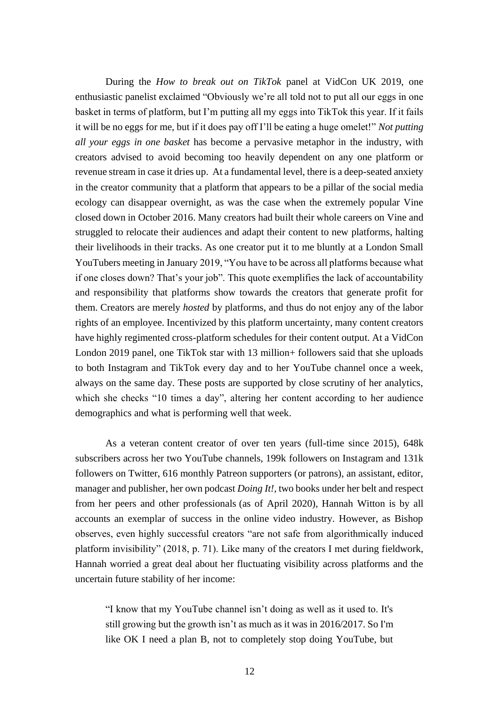During the *How to break out on TikTok* panel at VidCon UK 2019, one enthusiastic panelist exclaimed "Obviously we're all told not to put all our eggs in one basket in terms of platform, but I'm putting all my eggs into TikTok this year. If it fails it will be no eggs for me, but if it does pay off I'll be eating a huge omelet!" *Not putting all your eggs in one basket* has become a pervasive metaphor in the industry, with creators advised to avoid becoming too heavily dependent on any one platform or revenue stream in case it dries up. At a fundamental level, there is a deep-seated anxiety in the creator community that a platform that appears to be a pillar of the social media ecology can disappear overnight, as was the case when the extremely popular Vine closed down in October 2016. Many creators had built their whole careers on Vine and struggled to relocate their audiences and adapt their content to new platforms, halting their livelihoods in their tracks. As one creator put it to me bluntly at a London Small YouTubers meeting in January 2019, "You have to be across all platforms because what if one closes down? That's your job". This quote exemplifies the lack of accountability and responsibility that platforms show towards the creators that generate profit for them. Creators are merely *hosted* by platforms, and thus do not enjoy any of the labor rights of an employee. Incentivized by this platform uncertainty, many content creators have highly regimented cross-platform schedules for their content output. At a VidCon London 2019 panel, one TikTok star with 13 million+ followers said that she uploads to both Instagram and TikTok every day and to her YouTube channel once a week, always on the same day. These posts are supported by close scrutiny of her analytics, which she checks "10 times a day", altering her content according to her audience demographics and what is performing well that week.

As a veteran content creator of over ten years (full-time since 2015), 648k subscribers across her two YouTube channels, 199k followers on Instagram and 131k followers on Twitter, 616 monthly Patreon supporters (or patrons), an assistant, editor, manager and publisher, her own podcast *Doing It!,* two books under her belt and respect from her peers and other professionals (as of April 2020), Hannah Witton is by all accounts an exemplar of success in the online video industry. However, as Bishop observes, even highly successful creators "are not safe from algorithmically induced platform invisibility" (2018, p. 71). Like many of the creators I met during fieldwork, Hannah worried a great deal about her fluctuating visibility across platforms and the uncertain future stability of her income:

"I know that my YouTube channel isn't doing as well as it used to. It's still growing but the growth isn't as much as it was in 2016/2017. So I'm like OK I need a plan B, not to completely stop doing YouTube, but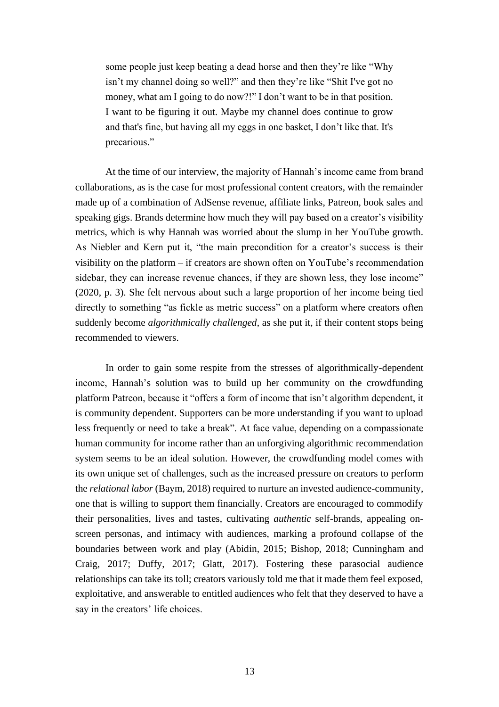some people just keep beating a dead horse and then they're like "Why isn't my channel doing so well?" and then they're like "Shit I've got no money, what am I going to do now?!" I don't want to be in that position. I want to be figuring it out. Maybe my channel does continue to grow and that's fine, but having all my eggs in one basket, I don't like that. It's precarious."

At the time of our interview, the majority of Hannah's income came from brand collaborations, as is the case for most professional content creators, with the remainder made up of a combination of AdSense revenue, affiliate links, Patreon, book sales and speaking gigs. Brands determine how much they will pay based on a creator's visibility metrics, which is why Hannah was worried about the slump in her YouTube growth. As Niebler and Kern put it, "the main precondition for a creator's success is their visibility on the platform – if creators are shown often on YouTube's recommendation sidebar, they can increase revenue chances, if they are shown less, they lose income" (2020, p. 3). She felt nervous about such a large proportion of her income being tied directly to something "as fickle as metric success" on a platform where creators often suddenly become *algorithmically challenged*, as she put it, if their content stops being recommended to viewers.

In order to gain some respite from the stresses of algorithmically-dependent income, Hannah's solution was to build up her community on the crowdfunding platform Patreon, because it "offers a form of income that isn't algorithm dependent, it is community dependent. Supporters can be more understanding if you want to upload less frequently or need to take a break". At face value, depending on a compassionate human community for income rather than an unforgiving algorithmic recommendation system seems to be an ideal solution. However, the crowdfunding model comes with its own unique set of challenges, such as the increased pressure on creators to perform the *relational labor* (Baym, 2018) required to nurture an invested audience-community, one that is willing to support them financially. Creators are encouraged to commodify their personalities, lives and tastes, cultivating *authentic* self-brands, appealing onscreen personas, and intimacy with audiences, marking a profound collapse of the boundaries between work and play (Abidin, 2015; Bishop, 2018; Cunningham and Craig, 2017; Duffy, 2017; Glatt, 2017). Fostering these parasocial audience relationships can take its toll; creators variously told me that it made them feel exposed, exploitative, and answerable to entitled audiences who felt that they deserved to have a say in the creators' life choices.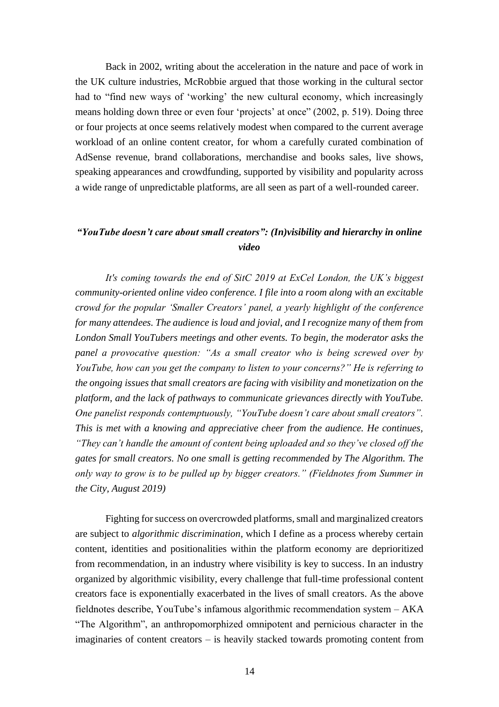Back in 2002, writing about the acceleration in the nature and pace of work in the UK culture industries, McRobbie argued that those working in the cultural sector had to "find new ways of 'working' the new cultural economy, which increasingly means holding down three or even four 'projects' at once" (2002, p. 519). Doing three or four projects at once seems relatively modest when compared to the current average workload of an online content creator, for whom a carefully curated combination of AdSense revenue, brand collaborations, merchandise and books sales, live shows, speaking appearances and crowdfunding, supported by visibility and popularity across a wide range of unpredictable platforms, are all seen as part of a well-rounded career.

### *"YouTube doesn't care about small creators": (In)visibility and hierarchy in online video*

*It's coming towards the end of SitC 2019 at ExCel London, the UK's biggest community-oriented online video conference. I file into a room along with an excitable crowd for the popular 'Smaller Creators' panel, a yearly highlight of the conference for many attendees. The audience is loud and jovial, and I recognize many of them from London Small YouTubers meetings and other events. To begin, the moderator asks the panel a provocative question: "As a small creator who is being screwed over by YouTube, how can you get the company to listen to your concerns?" He is referring to the ongoing issues that small creators are facing with visibility and monetization on the platform, and the lack of pathways to communicate grievances directly with YouTube. One panelist responds contemptuously, "YouTube doesn't care about small creators". This is met with a knowing and appreciative cheer from the audience. He continues, "They can't handle the amount of content being uploaded and so they've closed off the gates for small creators. No one small is getting recommended by The Algorithm. The only way to grow is to be pulled up by bigger creators." (Fieldnotes from Summer in the City, August 2019)*

Fighting for success on overcrowded platforms, small and marginalized creators are subject to *algorithmic discrimination*, which I define as a process whereby certain content, identities and positionalities within the platform economy are deprioritized from recommendation, in an industry where visibility is key to success. In an industry organized by algorithmic visibility, every challenge that full-time professional content creators face is exponentially exacerbated in the lives of small creators. As the above fieldnotes describe, YouTube's infamous algorithmic recommendation system – AKA "The Algorithm", an anthropomorphized omnipotent and pernicious character in the imaginaries of content creators – is heavily stacked towards promoting content from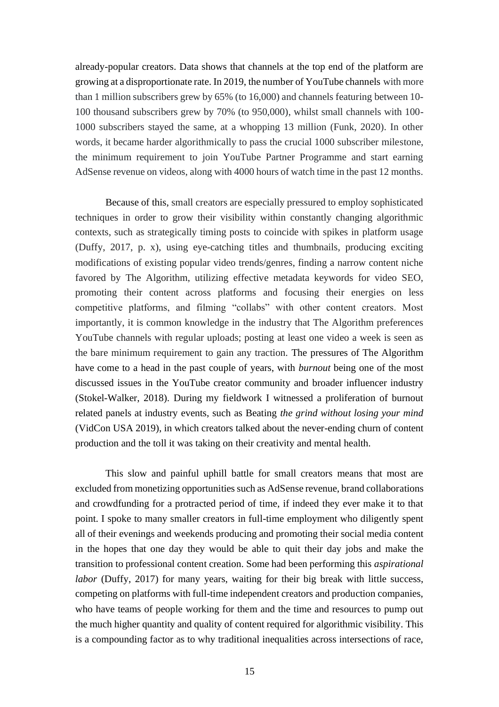already-popular creators. Data shows that channels at the top end of the platform are growing at a disproportionate rate. In 2019, the number of YouTube channels with more than 1 million subscribers grew by 65% (to 16,000) and channels featuring between 10- 100 thousand subscribers grew by 70% (to 950,000), whilst small channels with 100- 1000 subscribers stayed the same, at a whopping 13 million (Funk, 2020). In other words, it became harder algorithmically to pass the crucial 1000 subscriber milestone, the minimum requirement to join YouTube Partner Programme and start earning AdSense revenue on videos, along with 4000 hours of watch time in the past 12 months.

Because of this, small creators are especially pressured to employ sophisticated techniques in order to grow their visibility within constantly changing algorithmic contexts, such as strategically timing posts to coincide with spikes in platform usage (Duffy, 2017, p. x), using eye-catching titles and thumbnails, producing exciting modifications of existing popular video trends/genres, finding a narrow content niche favored by The Algorithm, utilizing effective metadata keywords for video SEO, promoting their content across platforms and focusing their energies on less competitive platforms, and filming "collabs" with other content creators. Most importantly, it is common knowledge in the industry that The Algorithm preferences YouTube channels with regular uploads; posting at least one video a week is seen as the bare minimum requirement to gain any traction. The pressures of The Algorithm have come to a head in the past couple of years, with *burnout* being one of the most discussed issues in the YouTube creator community and broader influencer industry (Stokel-Walker, 2018). During my fieldwork I witnessed a proliferation of burnout related panels at industry events, such as Beating *the grind without losing your mind* (VidCon USA 2019), in which creators talked about the never-ending churn of content production and the toll it was taking on their creativity and mental health.

This slow and painful uphill battle for small creators means that most are excluded from monetizing opportunities such as AdSense revenue, brand collaborations and crowdfunding for a protracted period of time, if indeed they ever make it to that point. I spoke to many smaller creators in full-time employment who diligently spent all of their evenings and weekends producing and promoting their social media content in the hopes that one day they would be able to quit their day jobs and make the transition to professional content creation. Some had been performing this *aspirational labor* (Duffy, 2017) for many years, waiting for their big break with little success, competing on platforms with full-time independent creators and production companies, who have teams of people working for them and the time and resources to pump out the much higher quantity and quality of content required for algorithmic visibility. This is a compounding factor as to why traditional inequalities across intersections of race,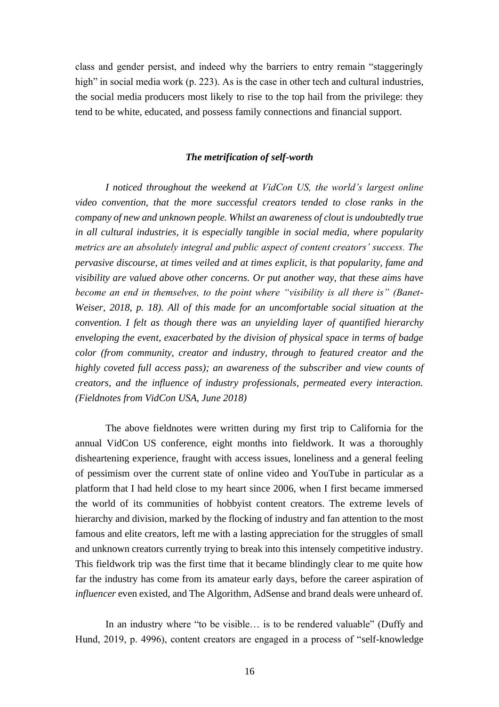class and gender persist, and indeed why the barriers to entry remain "staggeringly high" in social media work (p. 223). As is the case in other tech and cultural industries, the social media producers most likely to rise to the top hail from the privilege: they tend to be white, educated, and possess family connections and financial support.

### *The metrification of self-worth*

*I noticed throughout the weekend at VidCon US, the world's largest online video convention, that the more successful creators tended to close ranks in the company of new and unknown people. Whilst an awareness of clout is undoubtedly true in all cultural industries, it is especially tangible in social media, where popularity metrics are an absolutely integral and public aspect of content creators' success. The pervasive discourse, at times veiled and at times explicit, is that popularity, fame and visibility are valued above other concerns. Or put another way, that these aims have become an end in themselves, to the point where "visibility is all there is" (Banet-Weiser, 2018, p. 18). All of this made for an uncomfortable social situation at the convention. I felt as though there was an unyielding layer of quantified hierarchy enveloping the event, exacerbated by the division of physical space in terms of badge color (from community, creator and industry, through to featured creator and the highly coveted full access pass); an awareness of the subscriber and view counts of creators, and the influence of industry professionals, permeated every interaction. (Fieldnotes from VidCon USA, June 2018)*

The above fieldnotes were written during my first trip to California for the annual VidCon US conference, eight months into fieldwork. It was a thoroughly disheartening experience, fraught with access issues, loneliness and a general feeling of pessimism over the current state of online video and YouTube in particular as a platform that I had held close to my heart since 2006, when I first became immersed the world of its communities of hobbyist content creators. The extreme levels of hierarchy and division, marked by the flocking of industry and fan attention to the most famous and elite creators, left me with a lasting appreciation for the struggles of small and unknown creators currently trying to break into this intensely competitive industry. This fieldwork trip was the first time that it became blindingly clear to me quite how far the industry has come from its amateur early days, before the career aspiration of *influencer* even existed, and The Algorithm, AdSense and brand deals were unheard of.

In an industry where "to be visible... is to be rendered valuable" (Duffy and Hund, 2019, p. 4996), content creators are engaged in a process of "self-knowledge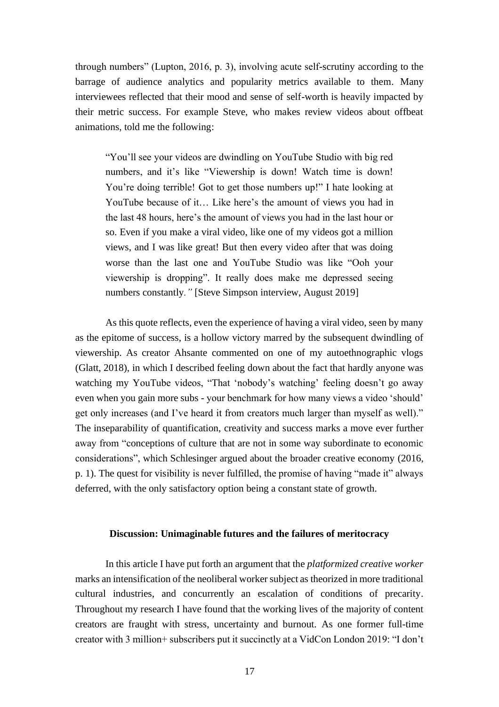through numbers" (Lupton, 2016, p. 3), involving acute self-scrutiny according to the barrage of audience analytics and popularity metrics available to them. Many interviewees reflected that their mood and sense of self-worth is heavily impacted by their metric success. For example Steve, who makes review videos about offbeat animations, told me the following:

"You'll see your videos are dwindling on YouTube Studio with big red numbers, and it's like "Viewership is down! Watch time is down! You're doing terrible! Got to get those numbers up!" I hate looking at YouTube because of it… Like here's the amount of views you had in the last 48 hours, here's the amount of views you had in the last hour or so. Even if you make a viral video, like one of my videos got a million views, and I was like great! But then every video after that was doing worse than the last one and YouTube Studio was like "Ooh your viewership is dropping". It really does make me depressed seeing numbers constantly*."* [Steve Simpson interview, August 2019]

As this quote reflects, even the experience of having a viral video, seen by many as the epitome of success, is a hollow victory marred by the subsequent dwindling of viewership. As creator Ahsante commented on one of my autoethnographic vlogs (Glatt, 2018), in which I described feeling down about the fact that hardly anyone was watching my YouTube videos, "That 'nobody's watching' feeling doesn't go away even when you gain more subs - your benchmark for how many views a video 'should' get only increases (and I've heard it from creators much larger than myself as well)." The inseparability of quantification, creativity and success marks a move ever further away from "conceptions of culture that are not in some way subordinate to economic considerations", which Schlesinger argued about the broader creative economy (2016, p. 1). The quest for visibility is never fulfilled, the promise of having "made it" always deferred, with the only satisfactory option being a constant state of growth.

### **Discussion: Unimaginable futures and the failures of meritocracy**

In this article I have put forth an argument that the *platformized creative worker* marks an intensification of the neoliberal worker subject as theorized in more traditional cultural industries, and concurrently an escalation of conditions of precarity. Throughout my research I have found that the working lives of the majority of content creators are fraught with stress, uncertainty and burnout. As one former full-time creator with 3 million+ subscribers put it succinctly at a VidCon London 2019: "I don't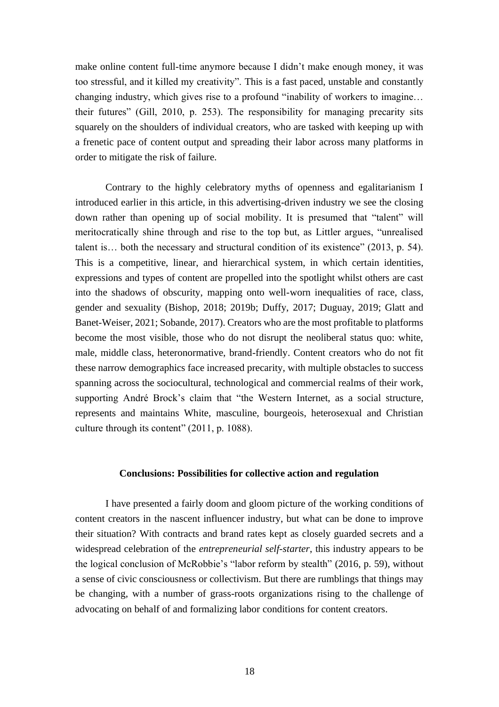make online content full-time anymore because I didn't make enough money, it was too stressful, and it killed my creativity". This is a fast paced, unstable and constantly changing industry, which gives rise to a profound "inability of workers to imagine… their futures" (Gill, 2010, p. 253). The responsibility for managing precarity sits squarely on the shoulders of individual creators, who are tasked with keeping up with a frenetic pace of content output and spreading their labor across many platforms in order to mitigate the risk of failure.

Contrary to the highly celebratory myths of openness and egalitarianism I introduced earlier in this article, in this advertising-driven industry we see the closing down rather than opening up of social mobility. It is presumed that "talent" will meritocratically shine through and rise to the top but, as Littler argues, "unrealised talent is… both the necessary and structural condition of its existence" (2013, p. 54). This is a competitive, linear, and hierarchical system, in which certain identities, expressions and types of content are propelled into the spotlight whilst others are cast into the shadows of obscurity, mapping onto well-worn inequalities of race, class, gender and sexuality (Bishop, 2018; 2019b; Duffy, 2017; Duguay, 2019; Glatt and Banet-Weiser, 2021; Sobande, 2017). Creators who are the most profitable to platforms become the most visible, those who do not disrupt the neoliberal status quo: white, male, middle class, heteronormative, brand-friendly. Content creators who do not fit these narrow demographics face increased precarity, with multiple obstacles to success spanning across the sociocultural, technological and commercial realms of their work, supporting André Brock's claim that "the Western Internet, as a social structure, represents and maintains White, masculine, bourgeois, heterosexual and Christian culture through its content" (2011, p. 1088).

### **Conclusions: Possibilities for collective action and regulation**

I have presented a fairly doom and gloom picture of the working conditions of content creators in the nascent influencer industry, but what can be done to improve their situation? With contracts and brand rates kept as closely guarded secrets and a widespread celebration of the *entrepreneurial self-starter*, this industry appears to be the logical conclusion of McRobbie's "labor reform by stealth" (2016, p. 59), without a sense of civic consciousness or collectivism. But there are rumblings that things may be changing, with a number of grass-roots organizations rising to the challenge of advocating on behalf of and formalizing labor conditions for content creators.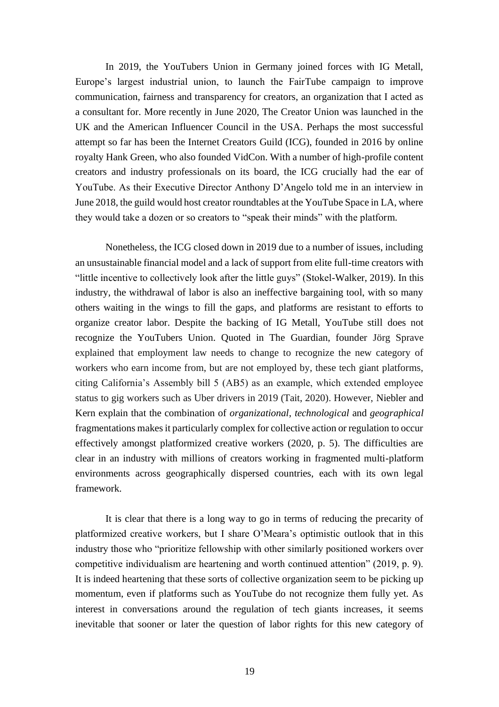In 2019, the YouTubers Union in Germany joined forces with IG Metall, Europe's largest industrial union, to launch the FairTube campaign to improve communication, fairness and transparency for creators, an organization that I acted as a consultant for. More recently in June 2020, The Creator Union was launched in the UK and the American Influencer Council in the USA. Perhaps the most successful attempt so far has been the Internet Creators Guild (ICG), founded in 2016 by online royalty Hank Green, who also founded VidCon. With a number of high-profile content creators and industry professionals on its board, the ICG crucially had the ear of YouTube. As their Executive Director Anthony D'Angelo told me in an interview in June 2018, the guild would host creator roundtables at the YouTube Space in LA, where they would take a dozen or so creators to "speak their minds" with the platform.

Nonetheless, the ICG closed down in 2019 due to a number of issues, including an unsustainable financial model and a lack of support from elite full-time creators with "little incentive to collectively look after the little guys" (Stokel-Walker, 2019). In this industry, the withdrawal of labor is also an ineffective bargaining tool, with so many others waiting in the wings to fill the gaps, and platforms are resistant to efforts to organize creator labor. Despite the backing of IG Metall, YouTube still does not recognize the YouTubers Union. Quoted in The Guardian, founder Jörg Sprave explained that employment law needs to change to recognize the new category of workers who earn income from, but are not employed by, these tech giant platforms, citing California's Assembly bill 5 (AB5) as an example, which extended employee status to gig workers such as Uber drivers in 2019 (Tait, 2020). However, Niebler and Kern explain that the combination of *organizational*, *technological* and *geographical*  fragmentations makes it particularly complex for collective action or regulation to occur effectively amongst platformized creative workers (2020, p. 5). The difficulties are clear in an industry with millions of creators working in fragmented multi-platform environments across geographically dispersed countries, each with its own legal framework.

It is clear that there is a long way to go in terms of reducing the precarity of platformized creative workers, but I share O'Meara's optimistic outlook that in this industry those who "prioritize fellowship with other similarly positioned workers over competitive individualism are heartening and worth continued attention" (2019, p. 9). It is indeed heartening that these sorts of collective organization seem to be picking up momentum, even if platforms such as YouTube do not recognize them fully yet. As interest in conversations around the regulation of tech giants increases, it seems inevitable that sooner or later the question of labor rights for this new category of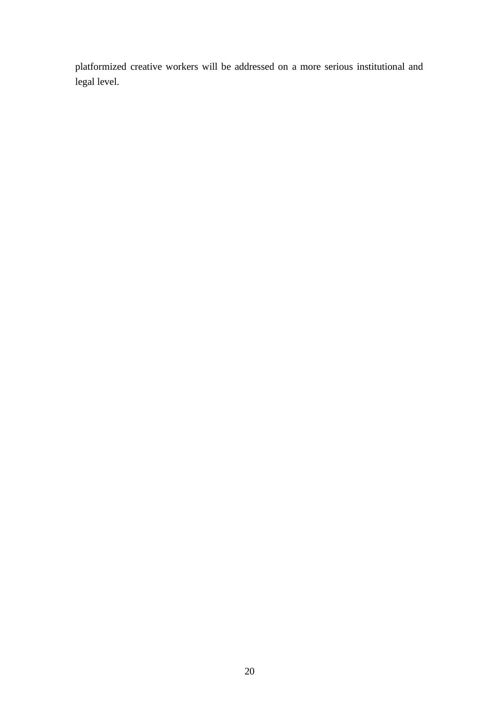platformized creative workers will be addressed on a more serious institutional and legal level.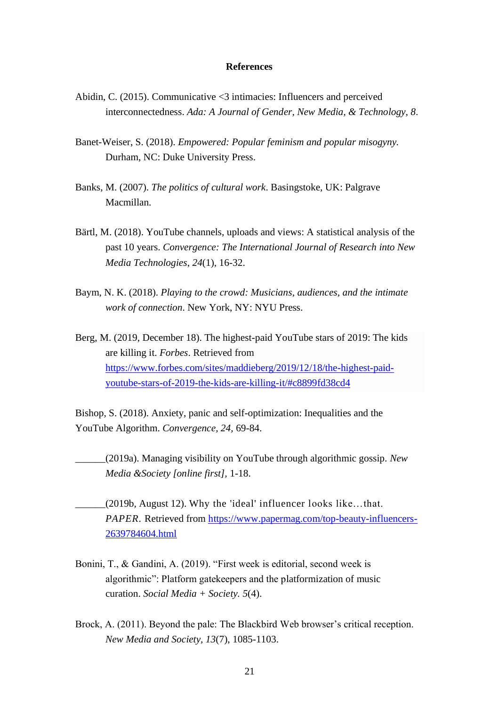### **References**

- Abidin, C. (2015). Communicative <3 intimacies: Influencers and perceived interconnectedness. *Ada: A Journal of Gender, New Media, & Technology, 8*.
- Banet-Weiser, S. (2018). *Empowered: Popular feminism and popular misogyny.*  Durham, NC: Duke University Press.
- Banks, M. (2007). *The politics of cultural work*. Basingstoke, UK: Palgrave Macmillan.
- Bärtl, M. (2018). YouTube channels, uploads and views: A statistical analysis of the past 10 years. *Convergence: The International Journal of Research into New Media Technologies*, *24*(1), 16-32.
- Baym, N. K. (2018). *Playing to the crowd: Musicians, audiences, and the intimate work of connection*. New York, NY: NYU Press.
- Berg, M. (2019, December 18). The highest-paid YouTube stars of 2019: The kids are killing it. *Forbes*. Retrieved from [https://www.forbes.com/sites/maddieberg/2019/12/18/the-highest-paid](https://www.forbes.com/sites/maddieberg/2019/12/18/the-highest-paid-youtube-stars-of-2019-the-kids-are-killing-it/#c8899fd38cd4)[youtube-stars-of-2019-the-kids-are-killing-it/#c8899fd38cd4](https://www.forbes.com/sites/maddieberg/2019/12/18/the-highest-paid-youtube-stars-of-2019-the-kids-are-killing-it/#c8899fd38cd4)

Bishop, S. (2018). Anxiety, panic and self-optimization: Inequalities and the YouTube Algorithm. *Convergence, 24,* 69-84.

- \_\_\_\_\_\_(2019a). Managing visibility on YouTube through algorithmic gossip. *New Media &Society [online first],* 1-18.
- \_\_\_\_\_\_(2019b, August 12). Why the 'ideal' influencer looks like…that. *PAPER*. Retrieved from [https://www.papermag.com/top-beauty-influencers-](https://www.papermag.com/top-beauty-influencers-2639784604.html)[2639784604.html](https://www.papermag.com/top-beauty-influencers-2639784604.html)
- Bonini, T., & Gandini, A. (2019). "First week is editorial, second week is algorithmic": Platform gatekeepers and the platformization of music curation. *Social Media + Society. 5*(4).
- Brock, A. (2011). Beyond the pale: The Blackbird Web browser's critical reception. *New Media and Society, 13*(7), 1085-1103.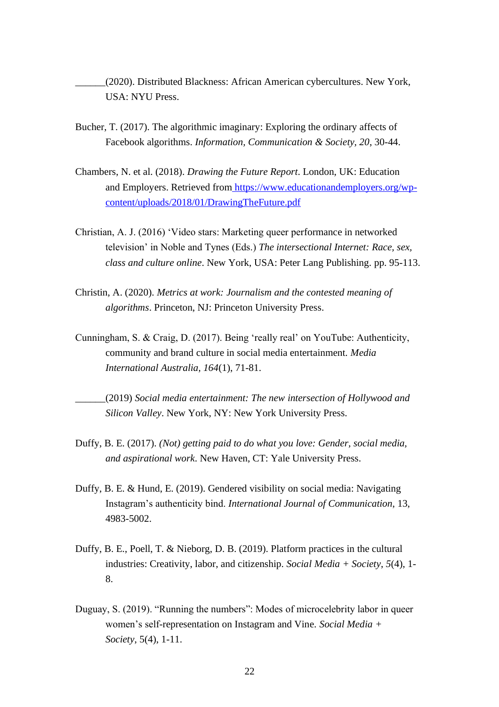- \_\_\_\_\_\_(2020). Distributed Blackness: African American cybercultures. New York, USA: NYU Press.
- Bucher, T. (2017). The algorithmic imaginary: Exploring the ordinary affects of Facebook algorithms. *Information, Communication & Society, 20*, 30-44.
- Chambers, N. et al. (2018). *Drawing the Future Report*. London, UK: Education and Employers. Retrieved from [https://www.educationandemployers.org/wp](https://www.educationandemployers.org/wp-content/uploads/2018/01/DrawingTheFuture.pdf)[content/uploads/2018/01/DrawingTheFuture.pdf](https://www.educationandemployers.org/wp-content/uploads/2018/01/DrawingTheFuture.pdf)
- Christian, A. J. (2016) 'Video stars: Marketing queer performance in networked television' in Noble and Tynes (Eds.) *The intersectional Internet: Race, sex, class and culture online*. New York, USA: Peter Lang Publishing. pp. 95-113.
- Christin, A. (2020). *Metrics at work: Journalism and the contested meaning of algorithms*. Princeton, NJ: Princeton University Press.
- Cunningham, S. & Craig, D. (2017). Being 'really real' on YouTube: Authenticity, community and brand culture in social media entertainment. *Media International Australia, 164*(1), 71-81.
- \_\_\_\_\_\_(2019) *Social media entertainment: The new intersection of Hollywood and Silicon Valley*. New York, NY: New York University Press.
- Duffy, B. E. (2017). *(Not) getting paid to do what you love: Gender, social media, and aspirational work*. New Haven, CT: Yale University Press.
- Duffy, B. E. & Hund, E. (2019). Gendered visibility on social media: Navigating Instagram's authenticity bind. *International Journal of Communication*, 13, 4983-5002.
- Duffy, B. E., Poell, T. & Nieborg, D. B. (2019). Platform practices in the cultural industries: Creativity, labor, and citizenship. *Social Media + Society*, *5*(4), 1- 8.
- Duguay, S. (2019). "Running the numbers": Modes of microcelebrity labor in queer women's self-representation on Instagram and Vine. *Social Media + Society*, 5(4), 1-11.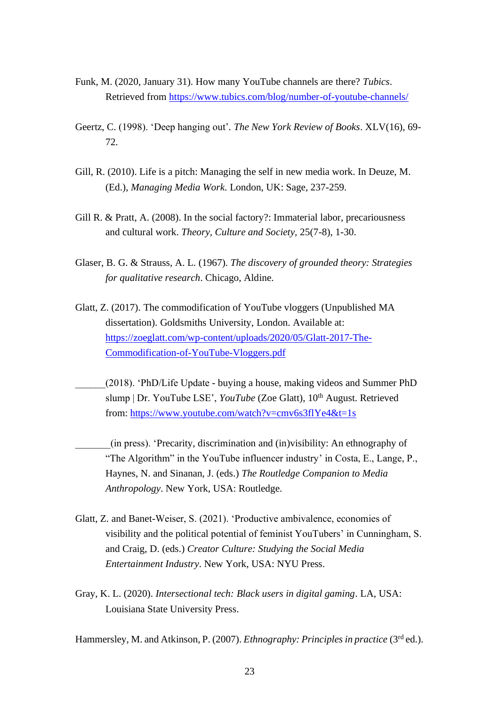- Funk, M. (2020, January 31). How many YouTube channels are there? *Tubics*. Retrieved from<https://www.tubics.com/blog/number-of-youtube-channels/>
- Geertz, C. (1998). 'Deep hanging out'*. The New York Review of Books*. XLV(16), 69- 72.
- Gill, R. (2010). Life is a pitch: Managing the self in new media work. In Deuze, M. (Ed.), *Managing Media Work*. London, UK: Sage, 237-259.
- Gill R. & Pratt, A. (2008). In the social factory?: Immaterial labor, precariousness and cultural work. *Theory, Culture and Society,* 25(7-8), 1-30.
- Glaser, B. G. & Strauss, A. L. (1967). *The discovery of grounded theory: Strategies for qualitative research*. Chicago, Aldine.
- Glatt, Z. (2017). The commodification of YouTube vloggers (Unpublished MA dissertation). Goldsmiths University, London. Available at: [https://zoeglatt.com/wp-content/uploads/2020/05/Glatt-2017-The-](https://zoeglatt.com/wp-content/uploads/2020/05/Glatt-2017-The-Commodification-of-YouTube-Vloggers.pdf)[Commodification-of-YouTube-Vloggers.pdf](https://zoeglatt.com/wp-content/uploads/2020/05/Glatt-2017-The-Commodification-of-YouTube-Vloggers.pdf)
- \_\_\_\_\_\_(2018). 'PhD/Life Update buying a house, making videos and Summer PhD slump | Dr. YouTube LSE', *YouTube* (Zoe Glatt), 10<sup>th</sup> August. Retrieved from:<https://www.youtube.com/watch?v=cmv6s3flYe4&t=1s>
- \_\_\_\_\_\_\_(in press). 'Precarity, discrimination and (in)visibility: An ethnography of "The Algorithm" in the YouTube influencer industry' in Costa, E., Lange, P., Haynes, N. and Sinanan, J. (eds.) *The Routledge Companion to Media Anthropology*. New York, USA: Routledge.
- Glatt, Z. and Banet-Weiser, S. (2021). 'Productive ambivalence, economies of visibility and the political potential of feminist YouTubers' in Cunningham, S. and Craig, D. (eds.) *Creator Culture: Studying the Social Media Entertainment Industry*. New York, USA: NYU Press.
- Gray, K. L. (2020). *Intersectional tech: Black users in digital gaming*. LA, USA: Louisiana State University Press.

Hammersley, M. and Atkinson, P. (2007). *Ethnography: Principles in practice* (3rd ed.).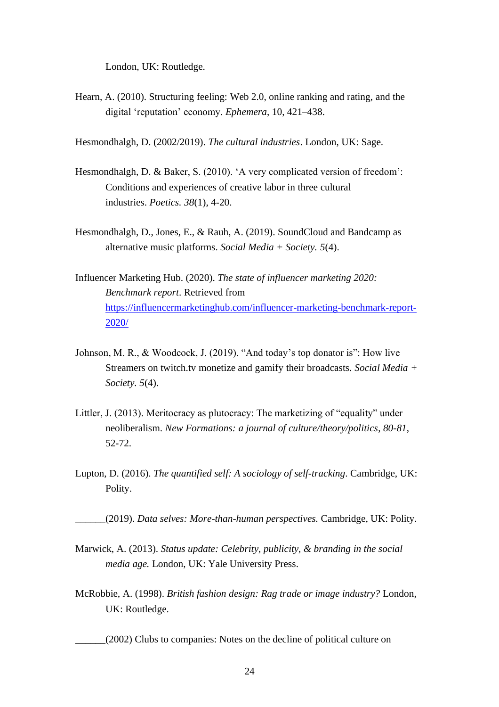London, UK: Routledge.

Hearn, A. (2010). Structuring feeling: Web 2.0, online ranking and rating, and the digital 'reputation' economy. *Ephemera*, 10, 421–438.

Hesmondhalgh, D. (2002/2019). *The cultural industries*. London, UK: Sage.

- Hesmondhalgh, D. & Baker, S. (2010). 'A very complicated version of freedom': Conditions and experiences of creative labor in three cultural industries. *Poetics. 38*(1), 4-20.
- Hesmondhalgh, D., Jones, E., & Rauh, A. (2019). SoundCloud and Bandcamp as alternative music platforms. *Social Media + Society. 5*(4).
- Influencer Marketing Hub. (2020). *The state of influencer marketing 2020: Benchmark report*. Retrieved from [https://influencermarketinghub.com/influencer-marketing-benchmark-report-](https://influencermarketinghub.com/influencer-marketing-benchmark-report-2020/)[2020/](https://influencermarketinghub.com/influencer-marketing-benchmark-report-2020/)
- Johnson, M. R., & Woodcock, J. (2019). "And today's top donator is": How live Streamers on twitch.tv monetize and gamify their broadcasts. *Social Media + Society. 5*(4).
- Littler, J. (2013). Meritocracy as plutocracy: The marketizing of "equality" under neoliberalism. *New Formations: a journal of culture/theory/politics*, *80-81*, 52-72.
- Lupton, D. (2016). *The quantified self: A sociology of self-tracking*. Cambridge, UK: Polity.

\_\_\_\_\_\_(2019). *Data selves: More-than-human perspectives.* Cambridge, UK: Polity.

- Marwick, A. (2013). *Status update: Celebrity, publicity, & branding in the social media age.* London, UK: Yale University Press.
- McRobbie, A. (1998). *British fashion design: Rag trade or image industry?* London, UK: Routledge.
	- \_\_\_\_\_\_(2002) Clubs to companies: Notes on the decline of political culture on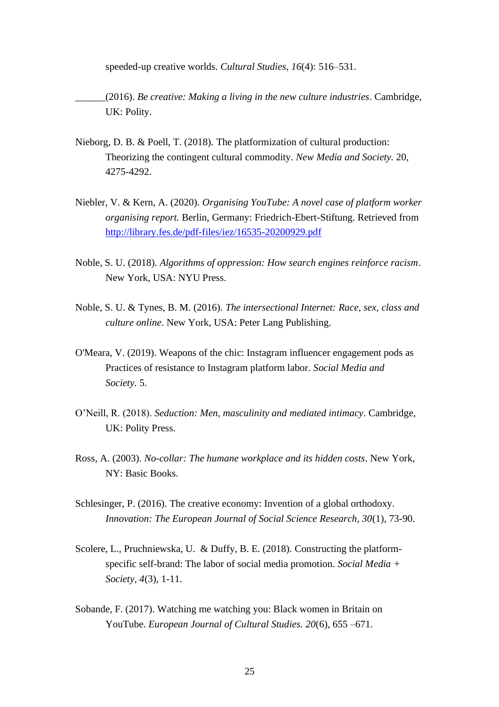speeded-up creative worlds. *Cultural Studies, 16*(4): 516–531.

\_\_\_\_\_\_(2016). *Be creative: Making a living in the new culture industries*. Cambridge, UK: Polity.

- Nieborg, D. B. & Poell, T. (2018). The platformization of cultural production: Theorizing the contingent cultural commodity. *New Media and Society.* 20, 4275-4292.
- Niebler, V. & Kern, A. (2020). *Organising YouTube: A novel case of platform worker organising report.* Berlin, Germany: Friedrich-Ebert-Stiftung. Retrieved from <http://library.fes.de/pdf-files/iez/16535-20200929.pdf>
- Noble, S. U. (2018). *Algorithms of oppression: How search engines reinforce racism*. New York, USA: NYU Press.
- Noble, S. U. & Tynes, B. M. (2016). *The intersectional Internet: Race, sex, class and culture online*. New York, USA: Peter Lang Publishing.
- O'Meara, V. (2019). Weapons of the chic: Instagram influencer engagement pods as Practices of resistance to Instagram platform labor. *Social Media and Society.* 5.
- O'Neill, R. (2018). *Seduction: Men, masculinity and mediated intimacy*. Cambridge, UK: Polity Press.
- Ross, A. (2003). *No-collar: The humane workplace and its hidden costs*. New York, NY: Basic Books.
- Schlesinger, P. (2016). The creative economy: Invention of a global orthodoxy. *Innovation: The European Journal of Social Science Research, 30*(1), 73-90.
- Scolere, L., Pruchniewska, U. & Duffy, B. E. (2018). Constructing the platformspecific self-brand: The labor of social media promotion. *Social Media + Society, 4*(3), 1-11.
- Sobande, F. (2017). Watching me watching you: Black women in Britain on YouTube. *European Journal of Cultural Studies. 20*(6), 655 –671.